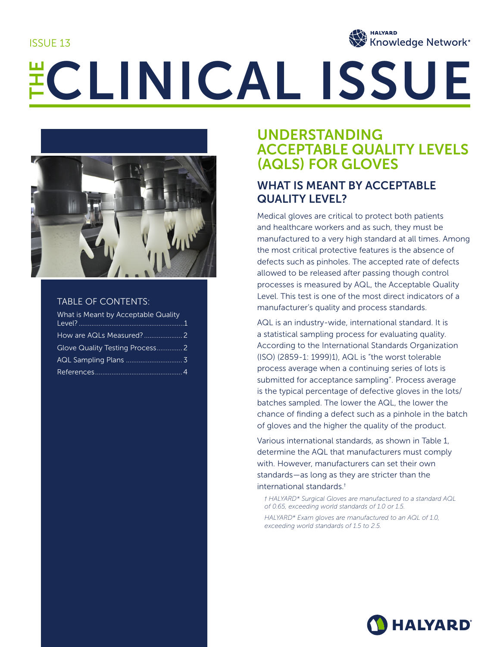ISSUE 13



# ECLINICAL ISSUE



### TABLE OF CONTENTS:

| What is Meant by Acceptable Quality |  |
|-------------------------------------|--|
|                                     |  |
|                                     |  |
|                                     |  |
|                                     |  |

# UNDERSTANDING ACCEPTABLE QUALITY LEVELS (AQLS) FOR GLOVES

# WHAT IS MEANT BY ACCEPTABLE QUALITY LEVEL?

Medical gloves are critical to protect both patients and healthcare workers and as such, they must be manufactured to a very high standard at all times. Among the most critical protective features is the absence of defects such as pinholes. The accepted rate of defects allowed to be released after passing though control processes is measured by AQL, the Acceptable Quality Level. This test is one of the most direct indicators of a manufacturer's quality and process standards.

AQL is an industry-wide, international standard. It is a statistical sampling process for evaluating quality. According to the International Standards Organization (ISO) (2859-1: 1999)1), AQL is "the worst tolerable process average when a continuing series of lots is submitted for acceptance sampling". Process average is the typical percentage of defective gloves in the lots/ batches sampled. The lower the AQL, the lower the chance of finding a defect such as a pinhole in the batch of gloves and the higher the quality of the product.

Various international standards, as shown in Table 1, determine the AQL that manufacturers must comply with. However, manufacturers can set their own standards—as long as they are stricter than the international standards.†

*† HALYARD\* Surgical Gloves are manufactured to a standard AQL of 0.65, exceeding world standards of 1.0 or 1.5.*

*HALYARD\* Exam gloves are manufactured to an AQL of 1.0, exceeding world standards of 1.5 to 2.5.*

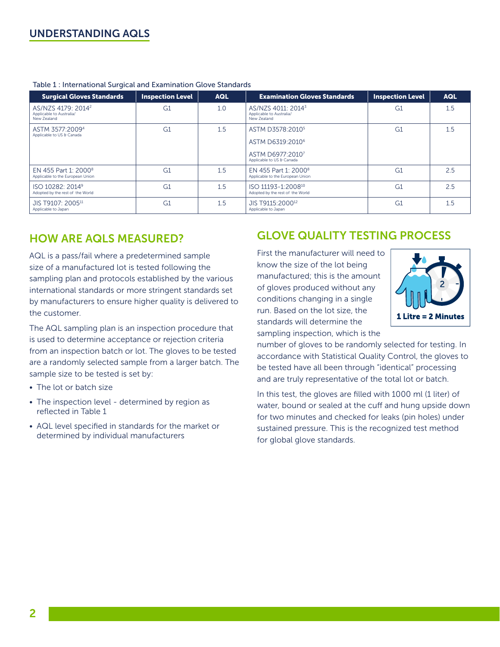### UNDERSTANDING AQLS

| <b>Surgical Gloves Standards</b>                                          | <b>Inspection Level</b> | <b>AQL</b> | <b>Examination Gloves Standards</b>                                       | <b>Inspection Level</b> | <b>AQL</b> |
|---------------------------------------------------------------------------|-------------------------|------------|---------------------------------------------------------------------------|-------------------------|------------|
| AS/NZS 4179: 2014 <sup>2</sup><br>Applicable to Australia/<br>New Zealand | G <sub>1</sub>          | 1.0        | AS/NZS 4011: 2014 <sup>3</sup><br>Applicable to Australia/<br>New Zealand | G <sub>1</sub>          | 1.5        |
| ASTM 3577:20094<br>Applicable to US & Canada                              | G <sub>1</sub>          | 1.5        | ASTM D3578:2010 <sup>5</sup>                                              | G <sub>1</sub>          | 1.5        |
|                                                                           |                         |            | ASTM D6319:2010 <sup>6</sup>                                              |                         |            |
|                                                                           |                         |            | ASTM D6977:20107<br>Applicable to US & Canada                             |                         |            |
| EN 455 Part 1: 2000 <sup>8</sup><br>Applicable to the European Union      | G1                      | 1.5        | EN 455 Part 1: 2000 <sup>8</sup><br>Applicable to the European Union      | G1                      | 2.5        |
| ISO 10282: 2014 <sup>9</sup><br>Adopted by the rest of the World          | G <sub>1</sub>          | 1.5        | ISO 11193-1:2008 <sup>10</sup><br>Adopted by the rest of the World        | G <sub>1</sub>          | 2.5        |
| JIS T9107: 2005 <sup>11</sup><br>Applicable to Japan                      | G <sub>1</sub>          | 1.5        | JIS T9115:2000 <sup>12</sup><br>Applicable to Japan                       | G <sub>1</sub>          | 1.5        |

### Table 1 : International Surgical and Examination Glove Standards

### HOW ARE AQLS MEASURED?

AQL is a pass/fail where a predetermined sample size of a manufactured lot is tested following the sampling plan and protocols established by the various international standards or more stringent standards set by manufacturers to ensure higher quality is delivered to the customer.

The AQL sampling plan is an inspection procedure that is used to determine acceptance or rejection criteria from an inspection batch or lot. The gloves to be tested are a randomly selected sample from a larger batch. The sample size to be tested is set by:

- The lot or batch size
- The inspection level determined by region as reflected in Table 1
- AQL level specified in standards for the market or determined by individual manufacturers

# GLOVE QUALITY TESTING PROCESS

First the manufacturer will need to know the size of the lot being manufactured; this is the amount of gloves produced without any conditions changing in a single run. Based on the lot size, the standards will determine the sampling inspection, which is the



number of gloves to be randomly selected for testing. In accordance with Statistical Quality Control, the gloves to be tested have all been through "identical" processing and are truly representative of the total lot or batch.

In this test, the gloves are filled with 1000 ml (1 liter) of water, bound or sealed at the cuff and hung upside down for two minutes and checked for leaks (pin holes) under sustained pressure. This is the recognized test method for global glove standards.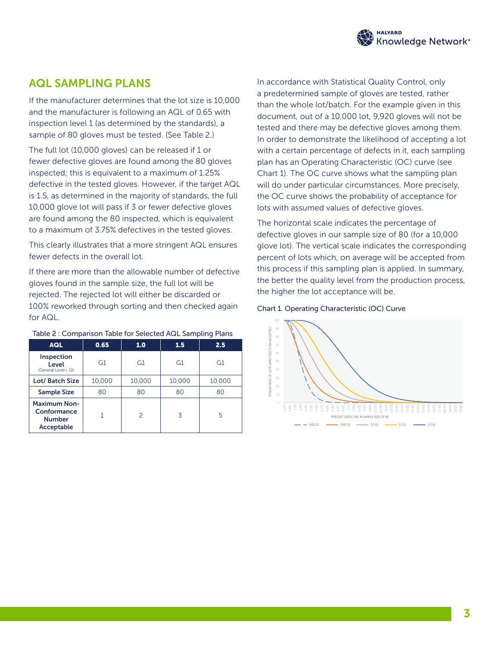

### AQL SAMPLING PLANS

If the manufacturer determines that the lot size is 10,000 and the manufacturer is following an AQL of 0.65 with inspection level 1 (as determined by the standards), a sample of 80 gloves must be tested. (See Table 2.)

The full lot (10,000 gloves) can be released if 1 or fewer defective gloves are found among the 80 gloves inspected; this is equivalent to a maximum of 1.25% defective in the tested gloves. However, if the target AQL is 1.5, as determined in the majority of standards, the full 10,000 glove lot will pass if 3 or fewer defective gloves are found among the 80 inspected, which is equivalent to a maximum of 3.75% defectives in the tested gloves.

This clearly illustrates that a more stringent AQL ensures fewer defects in the overall lot.

If there are more than the allowable number of defective gloves found in the sample size, the full lot will be rejected. The rejected lot will either be discarded or 100% reworked through sorting and then checked again for AQL.

| <b>AQL</b>                                                        | 0.65   | 1.0           | 1.5    | 2.5    |
|-------------------------------------------------------------------|--------|---------------|--------|--------|
| Inspection<br>Level<br>(General Level I. GI)                      | G1     | G1            | G1     | G1     |
| Lot/ Batch Size                                                   | 10,000 | 10,000        | 10,000 | 10,000 |
| <b>Sample Size</b>                                                | 80     | 80            | 80     | 80     |
| <b>Maximum Non-</b><br>Conformance<br><b>Number</b><br>Acceptable | 1      | $\mathcal{P}$ | 3      | 5      |

### Table 2 : Comparison Table for Selected AQL Sampling Plans

In accordance with Statistical Quality Control, only a predetermined sample of gloves are tested, rather than the whole lot/batch. For the example given in this document, out of a 10,000 lot, 9,920 gloves will not be tested and there may be defective gloves among them. In order to demonstrate the likelihood of accepting a lot with a certain percentage of defects in it, each sampling plan has an Operating Characteristic (OC) curve (see Chart 1). The OC curve shows what the sampling plan will do under particular circumstances. More precisely, the OC curve shows the probability of acceptance for lots with assumed values of defective gloves.

The horizontal scale indicates the percentage of defective gloves in our sample size of 80 (for a 10,000 glove lot). The vertical scale indicates the corresponding percent of lots which, on average will be accepted from this process if this sampling plan is applied. In summary, the better the quality level from the production process, the higher the lot acceptance will be.